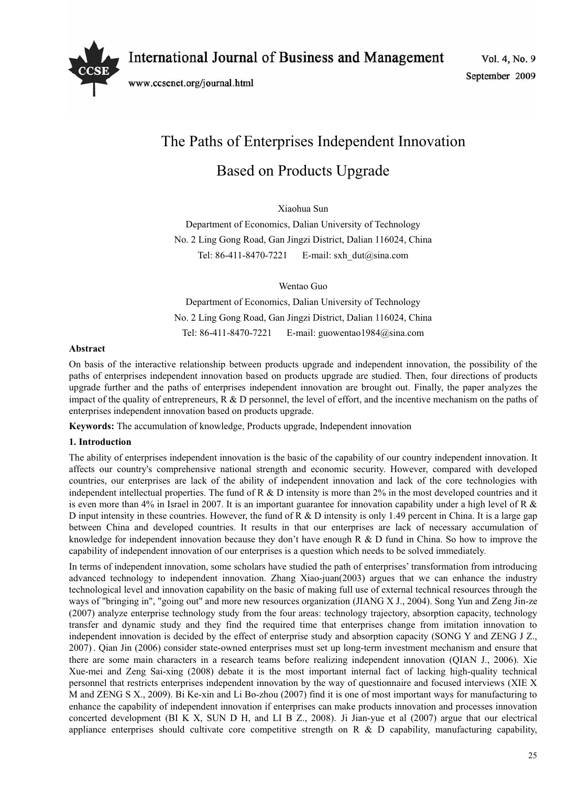

www.ccsenet.org/journal.html

Vol. 4, No. 9 September 2009

# The Paths of Enterprises Independent Innovation Based on Products Upgrade

Xiaohua Sun

Department of Economics, Dalian University of Technology No. 2 Ling Gong Road, Gan Jingzi District, Dalian 116024, China Tel: 86-411-8470-7221 E-mail: sxh\_dut@sina.com

Wentao Guo

Department of Economics, Dalian University of Technology No. 2 Ling Gong Road, Gan Jingzi District, Dalian 116024, China Tel: 86-411-8470-7221 E-mail: guowentao1984@sina.com

# **Abstract**

On basis of the interactive relationship between products upgrade and independent innovation, the possibility of the paths of enterprises independent innovation based on products upgrade are studied. Then, four directions of products upgrade further and the paths of enterprises independent innovation are brought out. Finally, the paper analyzes the impact of the quality of entrepreneurs, R & D personnel, the level of effort, and the incentive mechanism on the paths of enterprises independent innovation based on products upgrade.

**Keywords:** The accumulation of knowledge, Products upgrade, Independent innovation

# **1. Introduction**

The ability of enterprises independent innovation is the basic of the capability of our country independent innovation. It affects our country's comprehensive national strength and economic security. However, compared with developed countries, our enterprises are lack of the ability of independent innovation and lack of the core technologies with independent intellectual properties. The fund of R & D intensity is more than 2% in the most developed countries and it is even more than 4% in Israel in 2007. It is an important guarantee for innovation capability under a high level of R & D input intensity in these countries. However, the fund of R  $\&$  D intensity is only 1.49 percent in China. It is a large gap between China and developed countries. It results in that our enterprises are lack of necessary accumulation of knowledge for independent innovation because they don't have enough R & D fund in China. So how to improve the capability of independent innovation of our enterprises is a question which needs to be solved immediately.

In terms of independent innovation, some scholars have studied the path of enterprises' transformation from introducing advanced technology to independent innovation. Zhang Xiao-juan(2003) argues that we can enhance the industry technological level and innovation capability on the basic of making full use of external technical resources through the ways of "bringing in", "going out" and more new resources organization (JIANG X J., 2004). Song Yun and Zeng Jin-ze (2007) analyze enterprise technology study from the four areas: technology trajectory, absorption capacity, technology transfer and dynamic study and they find the required time that enterprises change from imitation innovation to independent innovation is decided by the effect of enterprise study and absorption capacity (SONG Y and ZENG J Z., 2007) . Qian Jin (2006) consider state-owned enterprises must set up long-term investment mechanism and ensure that there are some main characters in a research teams before realizing independent innovation (QIAN J., 2006). Xie Xue-mei and Zeng Sai-xing (2008) debate it is the most important internal fact of lacking high-quality technical personnel that restricts enterprises independent innovation by the way of questionnaire and focused interviews (XIE X M and ZENG S X., 2009). Bi Ke-xin and Li Bo-zhou (2007) find it is one of most important ways for manufacturing to enhance the capability of independent innovation if enterprises can make products innovation and processes innovation concerted development (BI K X, SUN D H, and LI B Z., 2008). Ji Jian-yue et al (2007) argue that our electrical appliance enterprises should cultivate core competitive strength on R  $\&$  D capability, manufacturing capability,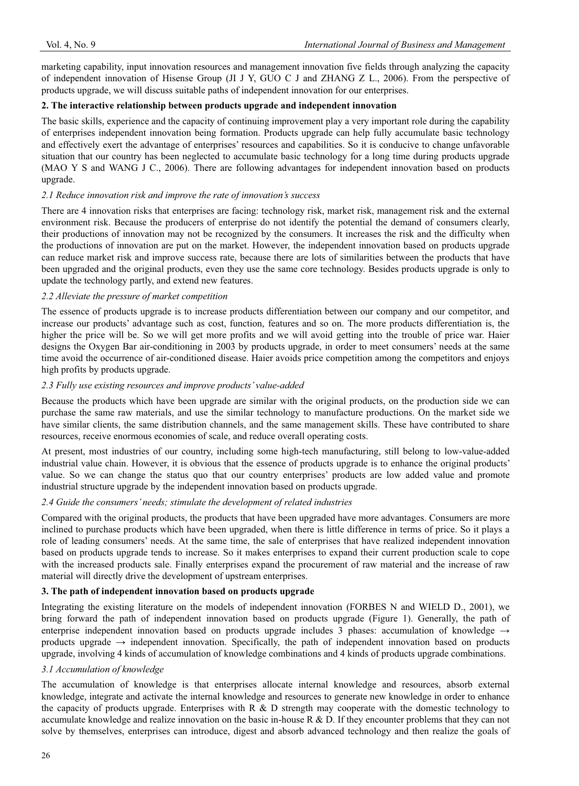marketing capability, input innovation resources and management innovation five fields through analyzing the capacity of independent innovation of Hisense Group (JI J Y, GUO C J and ZHANG Z L., 2006). From the perspective of products upgrade, we will discuss suitable paths of independent innovation for our enterprises.

#### **2. The interactive relationship between products upgrade and independent innovation**

The basic skills, experience and the capacity of continuing improvement play a very important role during the capability of enterprises independent innovation being formation. Products upgrade can help fully accumulate basic technology and effectively exert the advantage of enterprises' resources and capabilities. So it is conducive to change unfavorable situation that our country has been neglected to accumulate basic technology for a long time during products upgrade (MAO Y S and WANG J C., 2006). There are following advantages for independent innovation based on products upgrade.

## *2.1 Reduce innovation risk and improve the rate of innovation's success*

There are 4 innovation risks that enterprises are facing: technology risk, market risk, management risk and the external environment risk. Because the producers of enterprise do not identify the potential the demand of consumers clearly, their productions of innovation may not be recognized by the consumers. It increases the risk and the difficulty when the productions of innovation are put on the market. However, the independent innovation based on products upgrade can reduce market risk and improve success rate, because there are lots of similarities between the products that have been upgraded and the original products, even they use the same core technology. Besides products upgrade is only to update the technology partly, and extend new features.

# *2.2 Alleviate the pressure of market competition*

The essence of products upgrade is to increase products differentiation between our company and our competitor, and increase our products' advantage such as cost, function, features and so on. The more products differentiation is, the higher the price will be. So we will get more profits and we will avoid getting into the trouble of price war. Haier designs the Oxygen Bar air-conditioning in 2003 by products upgrade, in order to meet consumers' needs at the same time avoid the occurrence of air-conditioned disease. Haier avoids price competition among the competitors and enjoys high profits by products upgrade.

# *2.3 Fully use existing resources and improve products' value-added*

Because the products which have been upgrade are similar with the original products, on the production side we can purchase the same raw materials, and use the similar technology to manufacture productions. On the market side we have similar clients, the same distribution channels, and the same management skills. These have contributed to share resources, receive enormous economies of scale, and reduce overall operating costs.

At present, most industries of our country, including some high-tech manufacturing, still belong to low-value-added industrial value chain. However, it is obvious that the essence of products upgrade is to enhance the original products' value. So we can change the status quo that our country enterprises' products are low added value and promote industrial structure upgrade by the independent innovation based on products upgrade.

#### *2.4 Guide the consumers' needs; stimulate the development of related industries*

Compared with the original products, the products that have been upgraded have more advantages. Consumers are more inclined to purchase products which have been upgraded, when there is little difference in terms of price. So it plays a role of leading consumers' needs. At the same time, the sale of enterprises that have realized independent innovation based on products upgrade tends to increase. So it makes enterprises to expand their current production scale to cope with the increased products sale. Finally enterprises expand the procurement of raw material and the increase of raw material will directly drive the development of upstream enterprises.

# **3. The path of independent innovation based on products upgrade**

Integrating the existing literature on the models of independent innovation (FORBES N and WIELD D., 2001), we bring forward the path of independent innovation based on products upgrade (Figure 1). Generally, the path of enterprise independent innovation based on products upgrade includes 3 phases: accumulation of knowledge  $\rightarrow$ products upgrade  $\rightarrow$  independent innovation. Specifically, the path of independent innovation based on products upgrade, involving 4 kinds of accumulation of knowledge combinations and 4 kinds of products upgrade combinations.

#### *3.1 Accumulation of knowledge*

The accumulation of knowledge is that enterprises allocate internal knowledge and resources, absorb external knowledge, integrate and activate the internal knowledge and resources to generate new knowledge in order to enhance the capacity of products upgrade. Enterprises with R & D strength may cooperate with the domestic technology to accumulate knowledge and realize innovation on the basic in-house R  $\&$  D. If they encounter problems that they can not solve by themselves, enterprises can introduce, digest and absorb advanced technology and then realize the goals of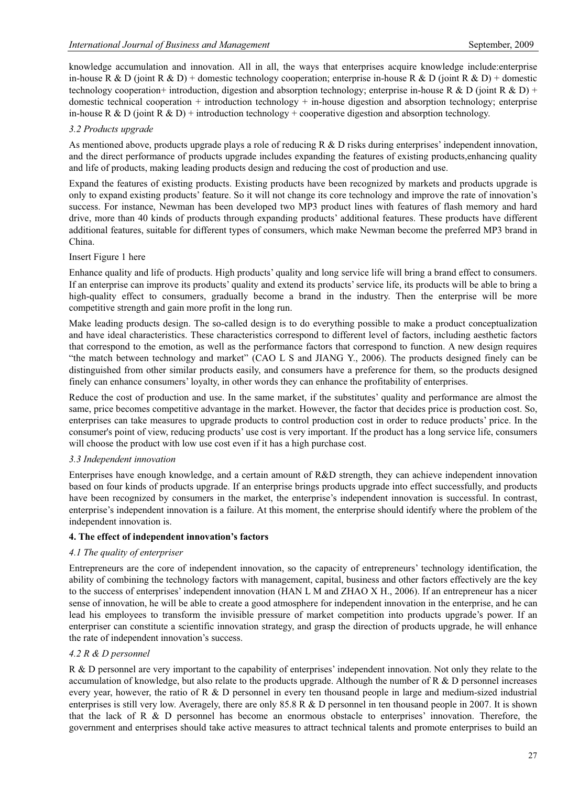knowledge accumulation and innovation. All in all, the ways that enterprises acquire knowledge include:enterprise in-house R & D (joint R & D) + domestic technology cooperation; enterprise in-house R & D (joint R & D) + domestic technology cooperation+ introduction, digestion and absorption technology; enterprise in-house R & D (joint R & D) + domestic technical cooperation + introduction technology + in-house digestion and absorption technology; enterprise in-house R & D (joint R & D) + introduction technology + cooperative digestion and absorption technology.

### *3.2 Products upgrade*

As mentioned above, products upgrade plays a role of reducing R & D risks during enterprises' independent innovation, and the direct performance of products upgrade includes expanding the features of existing products,enhancing quality and life of products, making leading products design and reducing the cost of production and use.

Expand the features of existing products. Existing products have been recognized by markets and products upgrade is only to expand existing products' feature. So it will not change its core technology and improve the rate of innovation's success. For instance, Newman has been developed two MP3 product lines with features of flash memory and hard drive, more than 40 kinds of products through expanding products' additional features. These products have different additional features, suitable for different types of consumers, which make Newman become the preferred MP3 brand in China.

#### Insert Figure 1 here

Enhance quality and life of products. High products' quality and long service life will bring a brand effect to consumers. If an enterprise can improve its products' quality and extend its products' service life, its products will be able to bring a high-quality effect to consumers, gradually become a brand in the industry. Then the enterprise will be more competitive strength and gain more profit in the long run.

Make leading products design. The so-called design is to do everything possible to make a product conceptualization and have ideal characteristics. These characteristics correspond to different level of factors, including aesthetic factors that correspond to the emotion, as well as the performance factors that correspond to function. A new design requires "the match between technology and market" (CAO L S and JIANG Y., 2006). The products designed finely can be distinguished from other similar products easily, and consumers have a preference for them, so the products designed finely can enhance consumers' loyalty, in other words they can enhance the profitability of enterprises.

Reduce the cost of production and use. In the same market, if the substitutes' quality and performance are almost the same, price becomes competitive advantage in the market. However, the factor that decides price is production cost. So, enterprises can take measures to upgrade products to control production cost in order to reduce products' price. In the consumer's point of view, reducing products' use cost is very important. If the product has a long service life, consumers will choose the product with low use cost even if it has a high purchase cost.

# *3.3 Independent innovation*

Enterprises have enough knowledge, and a certain amount of R&D strength, they can achieve independent innovation based on four kinds of products upgrade. If an enterprise brings products upgrade into effect successfully, and products have been recognized by consumers in the market, the enterprise's independent innovation is successful. In contrast, enterprise's independent innovation is a failure. At this moment, the enterprise should identify where the problem of the independent innovation is.

#### **4. The effect of independent innovation's factors**

#### *4.1 The quality of enterpriser*

Entrepreneurs are the core of independent innovation, so the capacity of entrepreneurs' technology identification, the ability of combining the technology factors with management, capital, business and other factors effectively are the key to the success of enterprises' independent innovation (HAN L M and ZHAO X H., 2006). If an entrepreneur has a nicer sense of innovation, he will be able to create a good atmosphere for independent innovation in the enterprise, and he can lead his employees to transform the invisible pressure of market competition into products upgrade's power. If an enterpriser can constitute a scientific innovation strategy, and grasp the direction of products upgrade, he will enhance the rate of independent innovation's success.

#### *4.2 R & D personnel*

R & D personnel are very important to the capability of enterprises' independent innovation. Not only they relate to the accumulation of knowledge, but also relate to the products upgrade. Although the number of R  $\&$  D personnel increases every year, however, the ratio of R & D personnel in every ten thousand people in large and medium-sized industrial enterprises is still very low. Averagely, there are only 85.8 R & D personnel in ten thousand people in 2007. It is shown that the lack of R & D personnel has become an enormous obstacle to enterprises' innovation. Therefore, the government and enterprises should take active measures to attract technical talents and promote enterprises to build an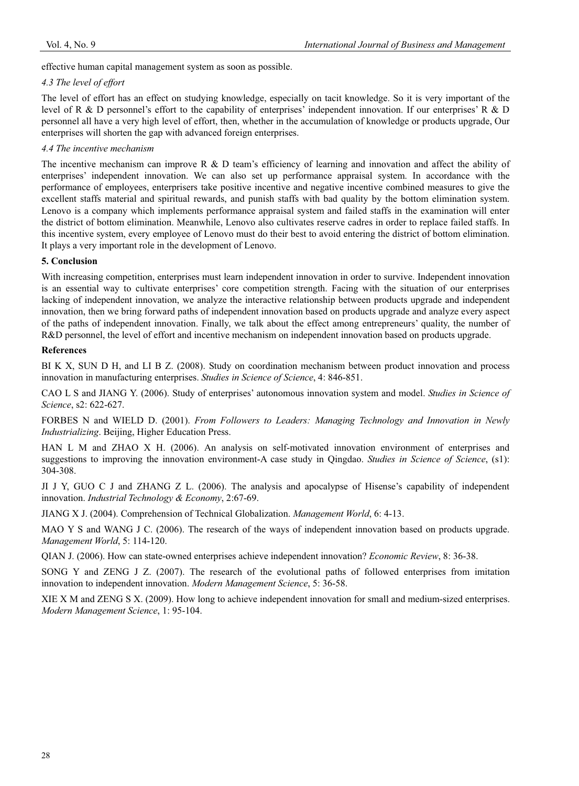effective human capital management system as soon as possible.

# *4.3 The level of effort*

The level of effort has an effect on studying knowledge, especially on tacit knowledge. So it is very important of the level of R & D personnel's effort to the capability of enterprises' independent innovation. If our enterprises' R & D personnel all have a very high level of effort, then, whether in the accumulation of knowledge or products upgrade, Our enterprises will shorten the gap with advanced foreign enterprises.

# *4.4 The incentive mechanism*

The incentive mechanism can improve R & D team's efficiency of learning and innovation and affect the ability of enterprises' independent innovation. We can also set up performance appraisal system. In accordance with the performance of employees, enterprisers take positive incentive and negative incentive combined measures to give the excellent staffs material and spiritual rewards, and punish staffs with bad quality by the bottom elimination system. Lenovo is a company which implements performance appraisal system and failed staffs in the examination will enter the district of bottom elimination. Meanwhile, Lenovo also cultivates reserve cadres in order to replace failed staffs. In this incentive system, every employee of Lenovo must do their best to avoid entering the district of bottom elimination. It plays a very important role in the development of Lenovo.

# **5. Conclusion**

With increasing competition, enterprises must learn independent innovation in order to survive. Independent innovation is an essential way to cultivate enterprises' core competition strength. Facing with the situation of our enterprises lacking of independent innovation, we analyze the interactive relationship between products upgrade and independent innovation, then we bring forward paths of independent innovation based on products upgrade and analyze every aspect of the paths of independent innovation. Finally, we talk about the effect among entrepreneurs' quality, the number of R&D personnel, the level of effort and incentive mechanism on independent innovation based on products upgrade.

# **References**

BI K X, SUN D H, and LI B Z. (2008). Study on coordination mechanism between product innovation and process innovation in manufacturing enterprises. *Studies in Science of Science*, 4: 846-851.

CAO L S and JIANG Y. (2006). Study of enterprises' autonomous innovation system and model. *Studies in Science of Science*, s2: 622-627.

FORBES N and WIELD D. (2001). *From Followers to Leaders: Managing Technology and Innovation in Newly Industrializing*. Beijing, Higher Education Press.

HAN L M and ZHAO X H. (2006). An analysis on self-motivated innovation environment of enterprises and suggestions to improving the innovation environment-A case study in Qingdao. *Studies in Science of Science*, (s1): 304-308.

JI J Y, GUO C J and ZHANG Z L. (2006). The analysis and apocalypse of Hisense's capability of independent innovation. *Industrial Technology & Economy*, 2:67-69.

JIANG X J. (2004). Comprehension of Technical Globalization. *Management World*, 6: 4-13.

MAO Y S and WANG J C. (2006). The research of the ways of independent innovation based on products upgrade. *Management World*, 5: 114-120.

QIAN J. (2006). How can state-owned enterprises achieve independent innovation? *Economic Review*, 8: 36-38.

SONG Y and ZENG J Z. (2007). The research of the evolutional paths of followed enterprises from imitation innovation to independent innovation. *Modern Management Science*, 5: 36-58.

XIE X M and ZENG S X. (2009). How long to achieve independent innovation for small and medium-sized enterprises. *Modern Management Science*, 1: 95-104.